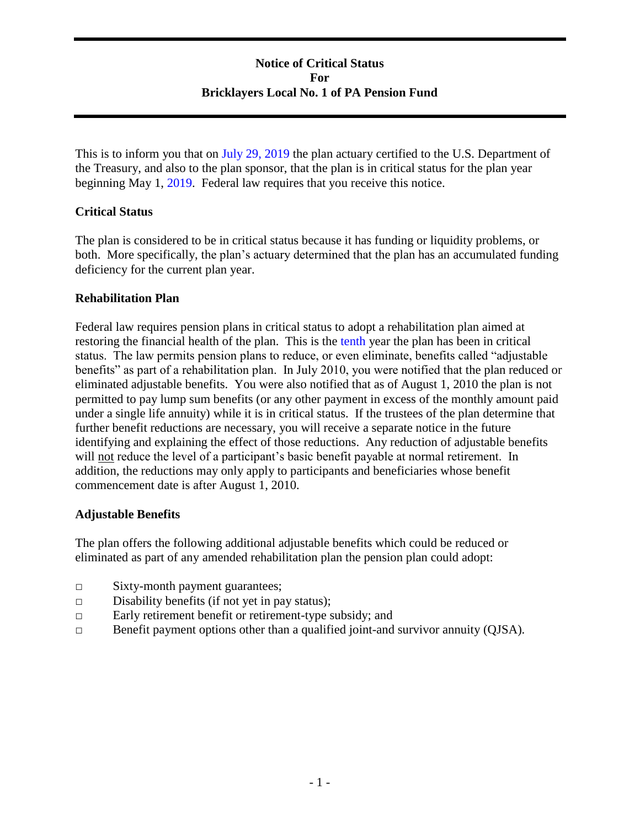# **Notice of Critical Status For Bricklayers Local No. 1 of PA Pension Fund**

This is to inform you that on July 29, 2019 the plan actuary certified to the U.S. Department of the Treasury, and also to the plan sponsor, that the plan is in critical status for the plan year beginning May 1, 2019. Federal law requires that you receive this notice.

# **Critical Status**

The plan is considered to be in critical status because it has funding or liquidity problems, or both. More specifically, the plan's actuary determined that the plan has an accumulated funding deficiency for the current plan year.

# **Rehabilitation Plan**

Federal law requires pension plans in critical status to adopt a rehabilitation plan aimed at restoring the financial health of the plan. This is the tenth year the plan has been in critical status. The law permits pension plans to reduce, or even eliminate, benefits called "adjustable benefits" as part of a rehabilitation plan. In July 2010, you were notified that the plan reduced or eliminated adjustable benefits. You were also notified that as of August 1, 2010 the plan is not permitted to pay lump sum benefits (or any other payment in excess of the monthly amount paid under a single life annuity) while it is in critical status. If the trustees of the plan determine that further benefit reductions are necessary, you will receive a separate notice in the future identifying and explaining the effect of those reductions. Any reduction of adjustable benefits will not reduce the level of a participant's basic benefit payable at normal retirement. In addition, the reductions may only apply to participants and beneficiaries whose benefit commencement date is after August 1, 2010.

# **Adjustable Benefits**

The plan offers the following additional adjustable benefits which could be reduced or eliminated as part of any amended rehabilitation plan the pension plan could adopt:

- □ Sixty-month payment guarantees;
- $\Box$  Disability benefits (if not yet in pay status);
- □ Early retirement benefit or retirement-type subsidy; and
- □ Benefit payment options other than a qualified joint-and survivor annuity (QJSA).